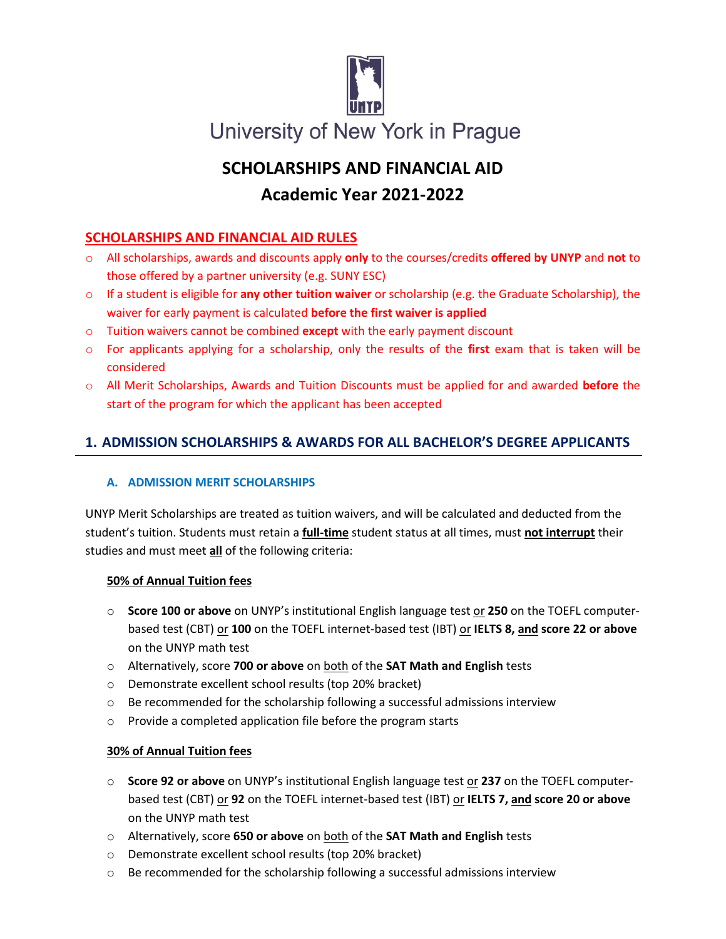

# **SCHOLARSHIPS AND FINANCIAL AID Academic Year 2021-2022**

## **SCHOLARSHIPS AND FINANCIAL AID RULES**

- o All scholarships, awards and discounts apply **only** to the courses/credits **offered by UNYP** and **not** to those offered by a partner university (e.g. SUNY ESC)
- o If a student is eligible for **any other tuition waiver** or scholarship (e.g. the Graduate Scholarship), the waiver for early payment is calculated **before the first waiver is applied**
- o Tuition waivers cannot be combined **except** with the early payment discount
- o For applicants applying for a scholarship, only the results of the **first** exam that is taken will be considered
- o All Merit Scholarships, Awards and Tuition Discounts must be applied for and awarded **before** the start of the program for which the applicant has been accepted

## **1. ADMISSION SCHOLARSHIPS & AWARDS FOR ALL BACHELOR'S DEGREE APPLICANTS**

#### **A. ADMISSION MERIT SCHOLARSHIPS**

UNYP Merit Scholarships are treated as tuition waivers, and will be calculated and deducted from the student's tuition. Students must retain a **full-time** student status at all times, must **not interrupt** their studies and must meet **all** of the following criteria:

#### **50% of Annual Tuition fees**

- o **Score 100 or above** on UNYP's institutional English language test or **250** on the TOEFL computerbased test (CBT) or **100** on the TOEFL internet-based test (IBT) or **IELTS 8, and score 22 or above** on the UNYP math test
- o Alternatively, score **700 or above** on both of the **SAT Math and English** tests
- o Demonstrate excellent school results (top 20% bracket)
- $\circ$  Be recommended for the scholarship following a successful admissions interview
- o Provide a completed application file before the program starts

#### **30% of Annual Tuition fees**

- o **Score 92 or above** on UNYP's institutional English language test or **237** on the TOEFL computerbased test (CBT) or **92** on the TOEFL internet-based test (IBT) or **IELTS 7, and score 20 or above**  on the UNYP math test
- o Alternatively, score **650 or above** on both of the **SAT Math and English** tests
- o Demonstrate excellent school results (top 20% bracket)
- $\circ$  Be recommended for the scholarship following a successful admissions interview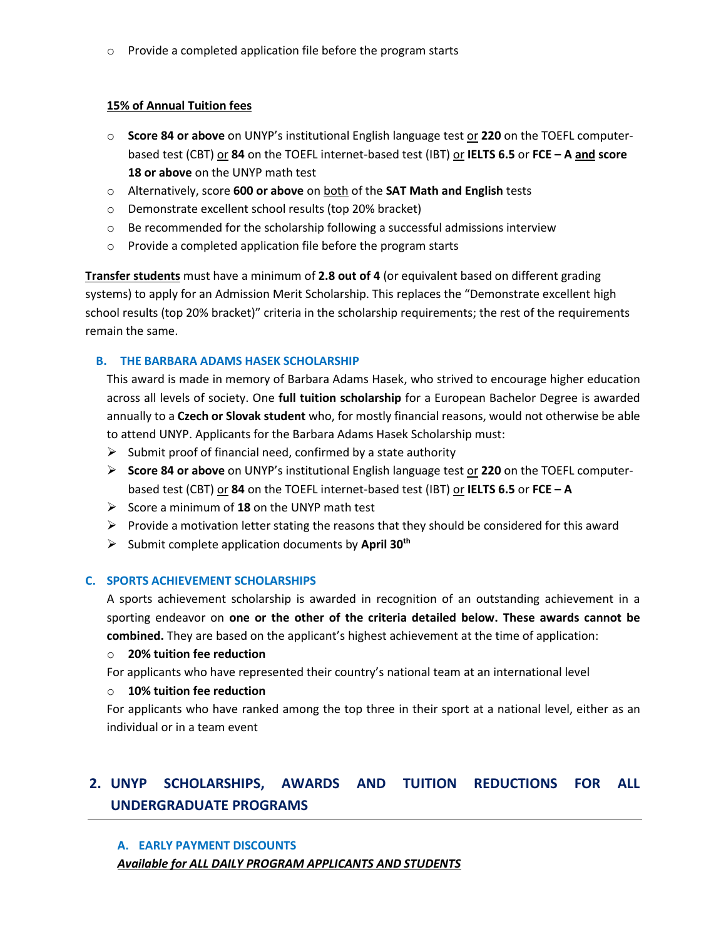o Provide a completed application file before the program starts

#### **15% of Annual Tuition fees**

- o **Score 84 or above** on UNYP's institutional English language test or **220** on the TOEFL computerbased test (CBT) or **84** on the TOEFL internet-based test (IBT) or **IELTS 6.5** or **FCE – A and score 18 or above** on the UNYP math test
- o Alternatively, score **600 or above** on both of the **SAT Math and English** tests
- o Demonstrate excellent school results (top 20% bracket)
- $\circ$  Be recommended for the scholarship following a successful admissions interview
- o Provide a completed application file before the program starts

**Transfer students** must have a minimum of **2.8 out of 4** (or equivalent based on different grading systems) to apply for an Admission Merit Scholarship. This replaces the "Demonstrate excellent high school results (top 20% bracket)" criteria in the scholarship requirements; the rest of the requirements remain the same.

#### **B. THE BARBARA ADAMS HASEK SCHOLARSHIP**

This award is made in memory of Barbara Adams Hasek, who strived to encourage higher education across all levels of society. One **full tuition scholarship** for a European Bachelor Degree is awarded annually to a **Czech or Slovak student** who, for mostly financial reasons, would not otherwise be able to attend UNYP. Applicants for the Barbara Adams Hasek Scholarship must:

- $\triangleright$  Submit proof of financial need, confirmed by a state authority
- **Score 84 or above** on UNYP's institutional English language test or **220** on the TOEFL computerbased test (CBT) or **84** on the TOEFL internet-based test (IBT) or **IELTS 6.5** or **FCE – A**
- Score a minimum of **18** on the UNYP math test
- $\triangleright$  Provide a motivation letter stating the reasons that they should be considered for this award
- Submit complete application documents by **April 30th**

#### **C. SPORTS ACHIEVEMENT SCHOLARSHIPS**

A sports achievement scholarship is awarded in recognition of an outstanding achievement in a sporting endeavor on **one or the other of the criteria detailed below. These awards cannot be combined.** They are based on the applicant's highest achievement at the time of application:

#### o **20% tuition fee reduction**

For applicants who have represented their country's national team at an international level

#### o **10% tuition fee reduction**

For applicants who have ranked among the top three in their sport at a national level, either as an individual or in a team event

## **2. UNYP SCHOLARSHIPS, AWARDS AND TUITION REDUCTIONS FOR ALL UNDERGRADUATE PROGRAMS**

#### **A. EARLY PAYMENT DISCOUNTS** *Available for ALL DAILY PROGRAM APPLICANTS AND STUDENTS*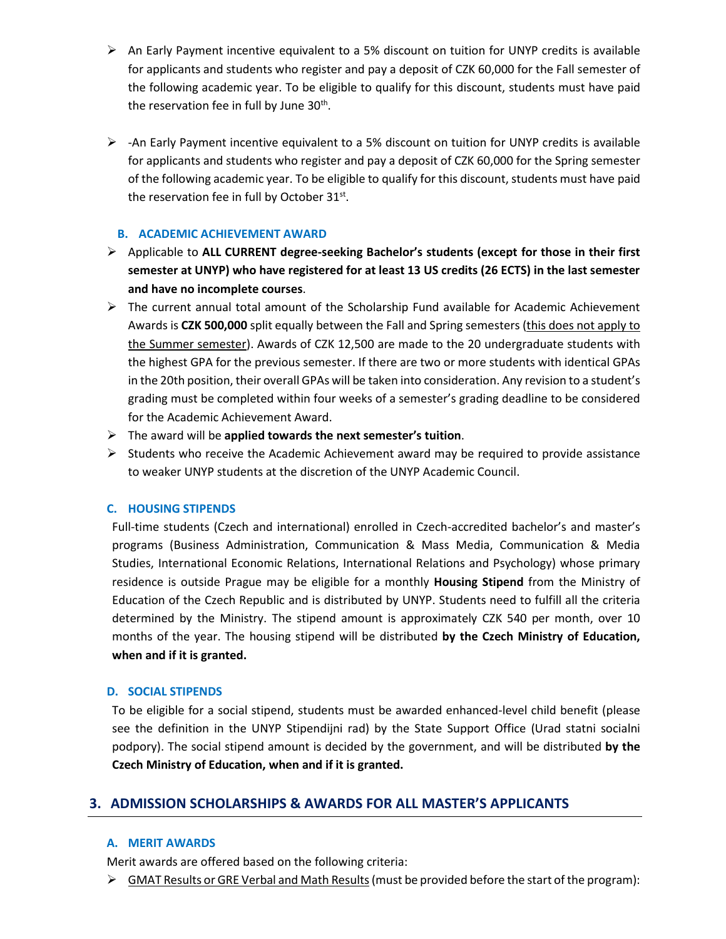- $\triangleright$  An Early Payment incentive equivalent to a 5% discount on tuition for UNYP credits is available for applicants and students who register and pay a deposit of CZK 60,000 for the Fall semester of the following academic year. To be eligible to qualify for this discount, students must have paid the reservation fee in full by June 30<sup>th</sup>.
- $\triangleright$  -An Early Payment incentive equivalent to a 5% discount on tuition for UNYP credits is available for applicants and students who register and pay a deposit of CZK 60,000 for the Spring semester of the following academic year. To be eligible to qualify for this discount, students must have paid the reservation fee in full by October  $31^{st}$ .

#### **B. ACADEMIC ACHIEVEMENT AWARD**

- Applicable to **ALL CURRENT degree-seeking Bachelor's students (except for those in their first semester at UNYP) who have registered for at least 13 US credits (26 ECTS) in the last semester and have no incomplete courses**.
- $\triangleright$  The current annual total amount of the Scholarship Fund available for Academic Achievement Awards is **CZK 500,000** split equally between the Fall and Spring semesters (this does not apply to the Summer semester). Awards of CZK 12,500 are made to the 20 undergraduate students with the highest GPA for the previous semester. If there are two or more students with identical GPAs in the 20th position, their overall GPAs will be taken into consideration. Any revision to a student's grading must be completed within four weeks of a semester's grading deadline to be considered for the Academic Achievement Award.
- The award will be **applied towards the next semester's tuition**.
- $\triangleright$  Students who receive the Academic Achievement award may be required to provide assistance to weaker UNYP students at the discretion of the UNYP Academic Council.

#### **C. HOUSING STIPENDS**

Full-time students (Czech and international) enrolled in Czech-accredited bachelor's and master's programs (Business Administration, Communication & Mass Media, Communication & Media Studies, International Economic Relations, International Relations and Psychology) whose primary residence is outside Prague may be eligible for a monthly **Housing Stipend** from the Ministry of Education of the Czech Republic and is distributed by UNYP. Students need to fulfill all the criteria determined by the Ministry. The stipend amount is approximately CZK 540 per month, over 10 months of the year. The housing stipend will be distributed **by the Czech Ministry of Education, when and if it is granted.**

#### **D. SOCIAL STIPENDS**

To be eligible for a social stipend, students must be awarded enhanced-level child benefit (please see the definition in the UNYP Stipendijni rad) by the State Support Office (Urad statni socialni podpory). The social stipend amount is decided by the government, and will be distributed **by the Czech Ministry of Education, when and if it is granted.** 

## **3. ADMISSION SCHOLARSHIPS & AWARDS FOR ALL MASTER'S APPLICANTS**

#### **A. MERIT AWARDS**

Merit awards are offered based on the following criteria:

 $\triangleright$  GMAT Results or GRE Verbal and Math Results (must be provided before the start of the program):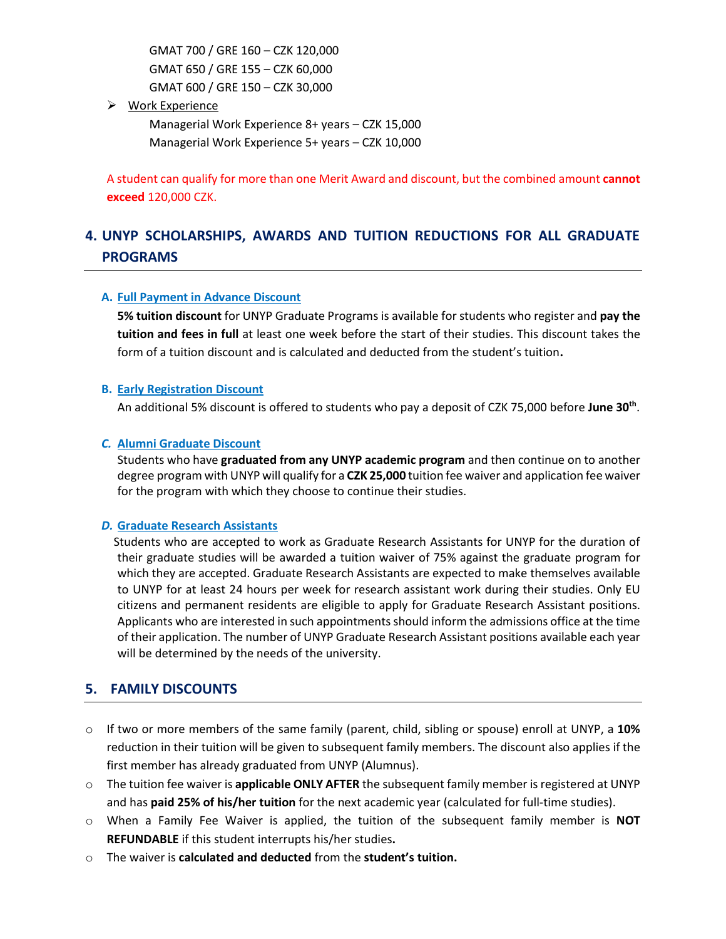GMAT 700 / GRE 160 – CZK 120,000 GMAT 650 / GRE 155 – CZK 60,000 GMAT 600 / GRE 150 – CZK 30,000

 $\triangleright$  Work Experience

Managerial Work Experience 8+ years – CZK 15,000 Managerial Work Experience 5+ years – CZK 10,000

A student can qualify for more than one Merit Award and discount, but the combined amount **cannot exceed** 120,000 CZK.

## **4. UNYP SCHOLARSHIPS, AWARDS AND TUITION REDUCTIONS FOR ALL GRADUATE PROGRAMS**

#### **A. Full Payment in Advance Discount**

**5% tuition discount** for UNYP Graduate Programs is available for students who register and **pay the tuition and fees in full** at least one week before the start of their studies. This discount takes the form of a tuition discount and is calculated and deducted from the student's tuition**.** 

#### **B. Early Registration Discount**

An additional 5% discount is offered to students who pay a deposit of CZK 75,000 before **June 30th** .

#### *C.* **Alumni Graduate Discount**

Students who have **graduated from any UNYP academic program** and then continue on to another degree program with UNYP will qualify for a **CZK 25,000** tuition fee waiver and application fee waiver for the program with which they choose to continue their studies.

#### *D.* **Graduate Research Assistants**

Students who are accepted to work as Graduate Research Assistants for UNYP for the duration of their graduate studies will be awarded a tuition waiver of 75% against the graduate program for which they are accepted. Graduate Research Assistants are expected to make themselves available to UNYP for at least 24 hours per week for research assistant work during their studies. Only EU citizens and permanent residents are eligible to apply for Graduate Research Assistant positions. Applicants who are interested in such appointments should inform the admissions office at the time of their application. The number of UNYP Graduate Research Assistant positions available each year will be determined by the needs of the university.

## **5. FAMILY DISCOUNTS**

- o If two or more members of the same family (parent, child, sibling or spouse) enroll at UNYP, a **10%** reduction in their tuition will be given to subsequent family members. The discount also applies if the first member has already graduated from UNYP (Alumnus).
- o The tuition fee waiver is **applicable ONLY AFTER** the subsequent family member is registered at UNYP and has **paid 25% of his/her tuition** for the next academic year (calculated for full-time studies).
- o When a Family Fee Waiver is applied, the tuition of the subsequent family member is **NOT REFUNDABLE** if this student interrupts his/her studies**.**
- o The waiver is **calculated and deducted** from the **student's tuition.**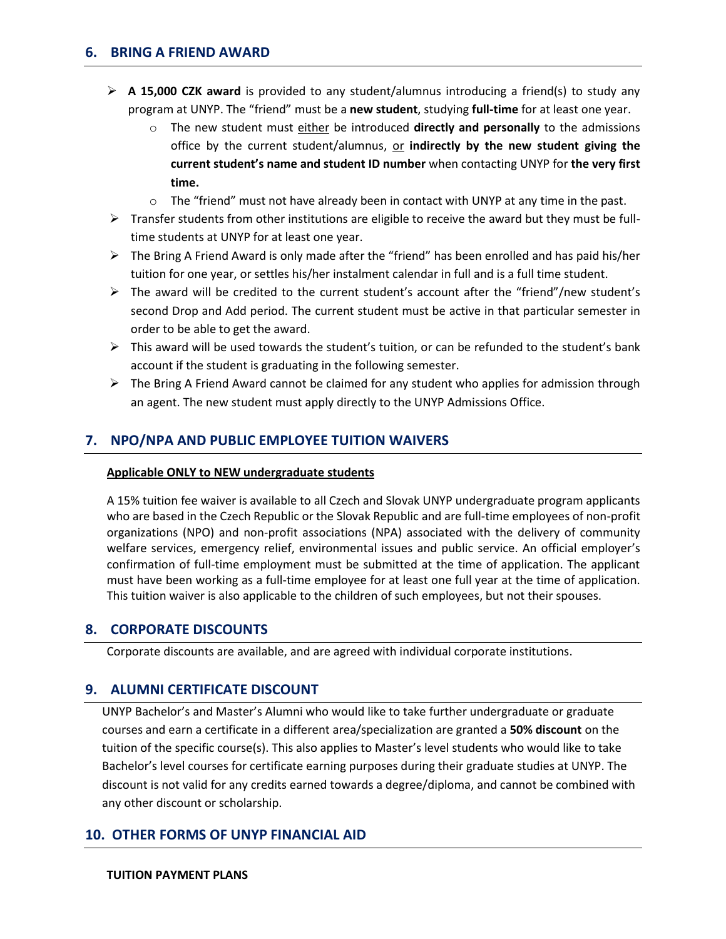- **A 15,000 CZK award** is provided to any student/alumnus introducing a friend(s) to study any program at UNYP. The "friend" must be a **new student**, studying **full-time** for at least one year.
	- o The new student must either be introduced **directly and personally** to the admissions office by the current student/alumnus, or **indirectly by the new student giving the current student's name and student ID number** when contacting UNYP for **the very first time.**
	- $\circ$  The "friend" must not have already been in contact with UNYP at any time in the past.
- $\triangleright$  Transfer students from other institutions are eligible to receive the award but they must be fulltime students at UNYP for at least one year.
- $\triangleright$  The Bring A Friend Award is only made after the "friend" has been enrolled and has paid his/her tuition for one year, or settles his/her instalment calendar in full and is a full time student.
- $\triangleright$  The award will be credited to the current student's account after the "friend"/new student's second Drop and Add period. The current student must be active in that particular semester in order to be able to get the award.
- $\triangleright$  This award will be used towards the student's tuition, or can be refunded to the student's bank account if the student is graduating in the following semester.
- $\triangleright$  The Bring A Friend Award cannot be claimed for any student who applies for admission through an agent. The new student must apply directly to the UNYP Admissions Office.

## **7. NPO/NPA AND PUBLIC EMPLOYEE TUITION WAIVERS**

#### **Applicable ONLY to NEW undergraduate students**

A 15% tuition fee waiver is available to all Czech and Slovak UNYP undergraduate program applicants who are based in the Czech Republic or the Slovak Republic and are full-time employees of non-profit organizations (NPO) and non-profit associations (NPA) associated with the delivery of community welfare services, emergency relief, environmental issues and public service. An official employer's confirmation of full-time employment must be submitted at the time of application. The applicant must have been working as a full-time employee for at least one full year at the time of application. This tuition waiver is also applicable to the children of such employees, but not their spouses.

#### **8. CORPORATE DISCOUNTS**

Corporate discounts are available, and are agreed with individual corporate institutions.

## **9. ALUMNI CERTIFICATE DISCOUNT**

UNYP Bachelor's and Master's Alumni who would like to take further undergraduate or graduate courses and earn a certificate in a different area/specialization are granted a **50% discount** on the tuition of the specific course(s). This also applies to Master's level students who would like to take Bachelor's level courses for certificate earning purposes during their graduate studies at UNYP. The discount is not valid for any credits earned towards a degree/diploma, and cannot be combined with any other discount or scholarship.

#### **10. OTHER FORMS OF UNYP FINANCIAL AID**